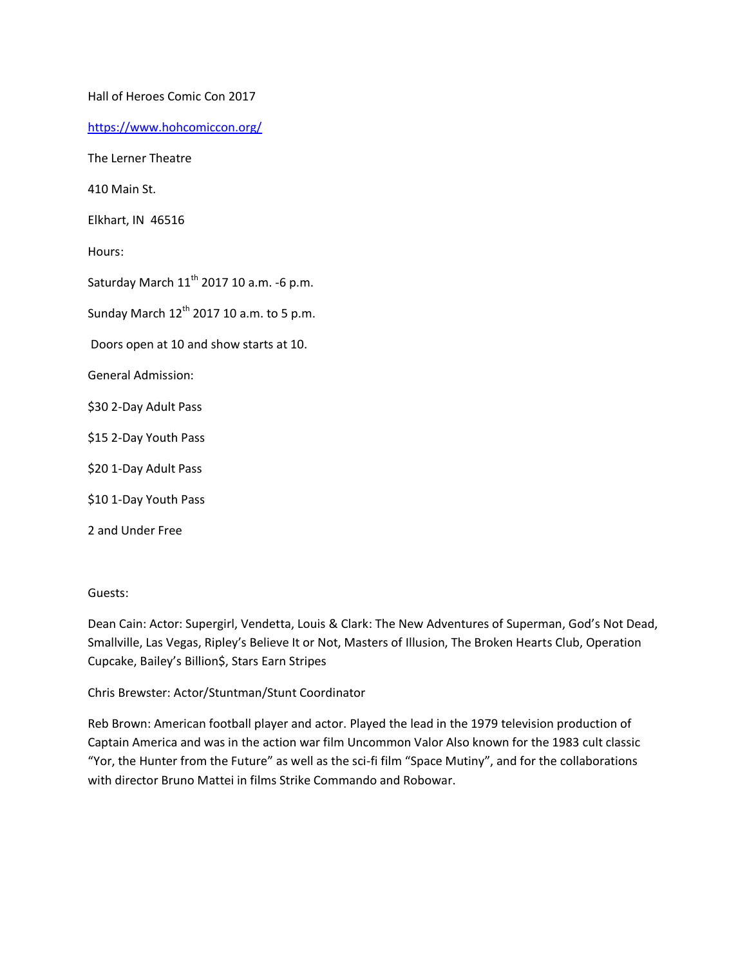Hall of Heroes Comic Con 2017

<https://www.hohcomiccon.org/>

The Lerner Theatre

410 Main St.

Elkhart, IN 46516

Hours:

Saturday March  $11<sup>th</sup>$  2017 10 a.m. -6 p.m.

Sunday March  $12^{th}$  2017 10 a.m. to 5 p.m.

Doors open at 10 and show starts at 10.

General Admission:

\$30 2-Day Adult Pass

\$15 2-Day Youth Pass

\$20 1-Day Adult Pass

\$10 1-Day Youth Pass

2 and Under Free

## Guests:

Dean Cain: Actor: Supergirl, Vendetta, Louis & Clark: The New Adventures of Superman, God's Not Dead, Smallville, Las Vegas, Ripley's Believe It or Not, Masters of Illusion, The Broken Hearts Club, Operation Cupcake, Bailey's Billion\$, Stars Earn Stripes

Chris Brewster: Actor/Stuntman/Stunt Coordinator

Reb Brown: American football player and actor. Played the lead in the 1979 television production of Captain America and was in the action war film Uncommon Valor Also known for the 1983 cult classic "Yor, the Hunter from the Future" as well as the sci-fi film "Space Mutiny", and for the collaborations with director Bruno Mattei in films Strike Commando and Robowar.